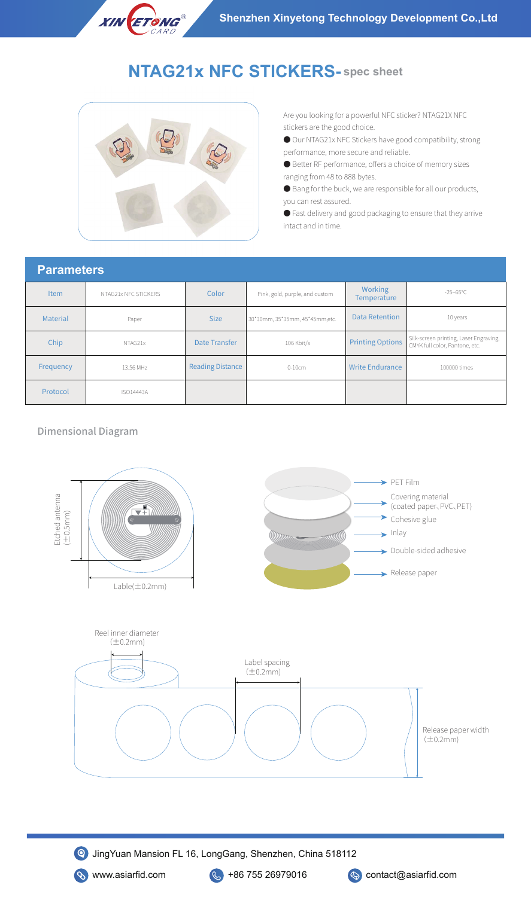# **NTAG21x NFC STICKERS- spec sheet**



**XIN ETONG®** 

Are you looking for a powerful NFC sticker? NTAG21X NFC stickers are the good choice.

- Our NTAG21x NFC Stickers have good compatibility, strong performance, more secure and reliable.
- Better RF performance, offers a choice of memory sizes ranging from 48 to 888 bytes.
- Bang for the buck, we are responsible for all our products, you can rest assured.
- Fast delivery and good packaging to ensure that they arrive intact and in time.

#### **Parameters**

| Item            | NTAG21x NFC STICKERS | Color                   | Pink, gold, purple, and custom  | <b>Working</b><br><b>Temperature</b> | $-25-65^{\circ}$ C                                                       |
|-----------------|----------------------|-------------------------|---------------------------------|--------------------------------------|--------------------------------------------------------------------------|
| <b>Material</b> | Paper                | <b>Size</b>             | 30*30mm, 35*35mm, 45*45mm, etc. | <b>Data Retention</b>                | 10 years                                                                 |
| Chip            | NTAG21x              | Date Transfer           | 106 Kbit/s                      | <b>Printing Options</b>              | Silk-screen printing, Laser Engraving,<br>CMYK full color, Pantone, etc. |
| Frequency       | 13.56 MHz            | <b>Reading Distance</b> | $0-10cm$                        | <b>Write Endurance</b>               | 100000 times                                                             |
| Protocol        | <b>ISO14443A</b>     |                         |                                 |                                      |                                                                          |

#### Dimensional Diagram



JingYuan Mansion FL 16, LongGang, Shenzhen, China 518112